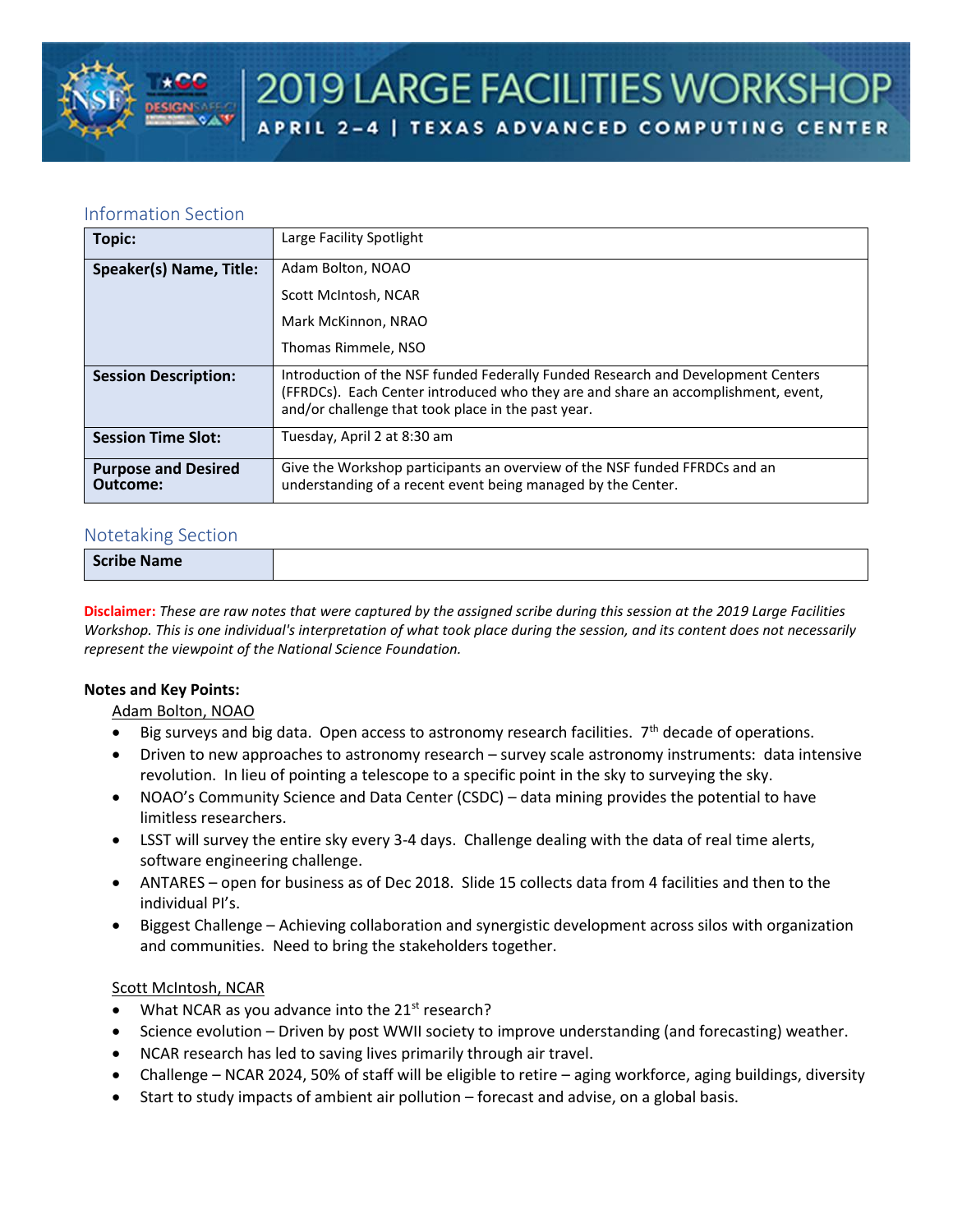

# Information Section

| Topic:                                 | Large Facility Spotlight                                                                                                                                                                                                    |
|----------------------------------------|-----------------------------------------------------------------------------------------------------------------------------------------------------------------------------------------------------------------------------|
| Speaker(s) Name, Title:                | Adam Bolton, NOAO                                                                                                                                                                                                           |
|                                        | Scott McIntosh, NCAR                                                                                                                                                                                                        |
|                                        | Mark McKinnon, NRAO                                                                                                                                                                                                         |
|                                        | Thomas Rimmele, NSO                                                                                                                                                                                                         |
| <b>Session Description:</b>            | Introduction of the NSF funded Federally Funded Research and Development Centers<br>(FFRDCs). Each Center introduced who they are and share an accomplishment, event,<br>and/or challenge that took place in the past year. |
| <b>Session Time Slot:</b>              | Tuesday, April 2 at 8:30 am                                                                                                                                                                                                 |
| <b>Purpose and Desired</b><br>Outcome: | Give the Workshop participants an overview of the NSF funded FFRDCs and an<br>understanding of a recent event being managed by the Center.                                                                                  |

## Notetaking Section

|--|

**Disclaimer:** *These are raw notes that were captured by the assigned scribe during this session at the 2019 Large Facilities Workshop. This is one individual's interpretation of what took place during the session, and its content does not necessarily represent the viewpoint of the National Science Foundation.*

## **Notes and Key Points:**

Adam Bolton, NOAO

- $\bullet$  Big surveys and big data. Open access to astronomy research facilities.  $7<sup>th</sup>$  decade of operations.
- Driven to new approaches to astronomy research survey scale astronomy instruments: data intensive revolution. In lieu of pointing a telescope to a specific point in the sky to surveying the sky.
- NOAO's Community Science and Data Center (CSDC) data mining provides the potential to have limitless researchers.
- LSST will survey the entire sky every 3-4 days. Challenge dealing with the data of real time alerts, software engineering challenge.
- ANTARES open for business as of Dec 2018. Slide 15 collects data from 4 facilities and then to the individual PI's.
- Biggest Challenge Achieving collaboration and synergistic development across silos with organization and communities. Need to bring the stakeholders together.

## Scott McIntosh, NCAR

- What NCAR as you advance into the  $21^{st}$  research?
- Science evolution Driven by post WWII society to improve understanding (and forecasting) weather.
- NCAR research has led to saving lives primarily through air travel.
- Challenge NCAR 2024, 50% of staff will be eligible to retire aging workforce, aging buildings, diversity
- Start to study impacts of ambient air pollution forecast and advise, on a global basis.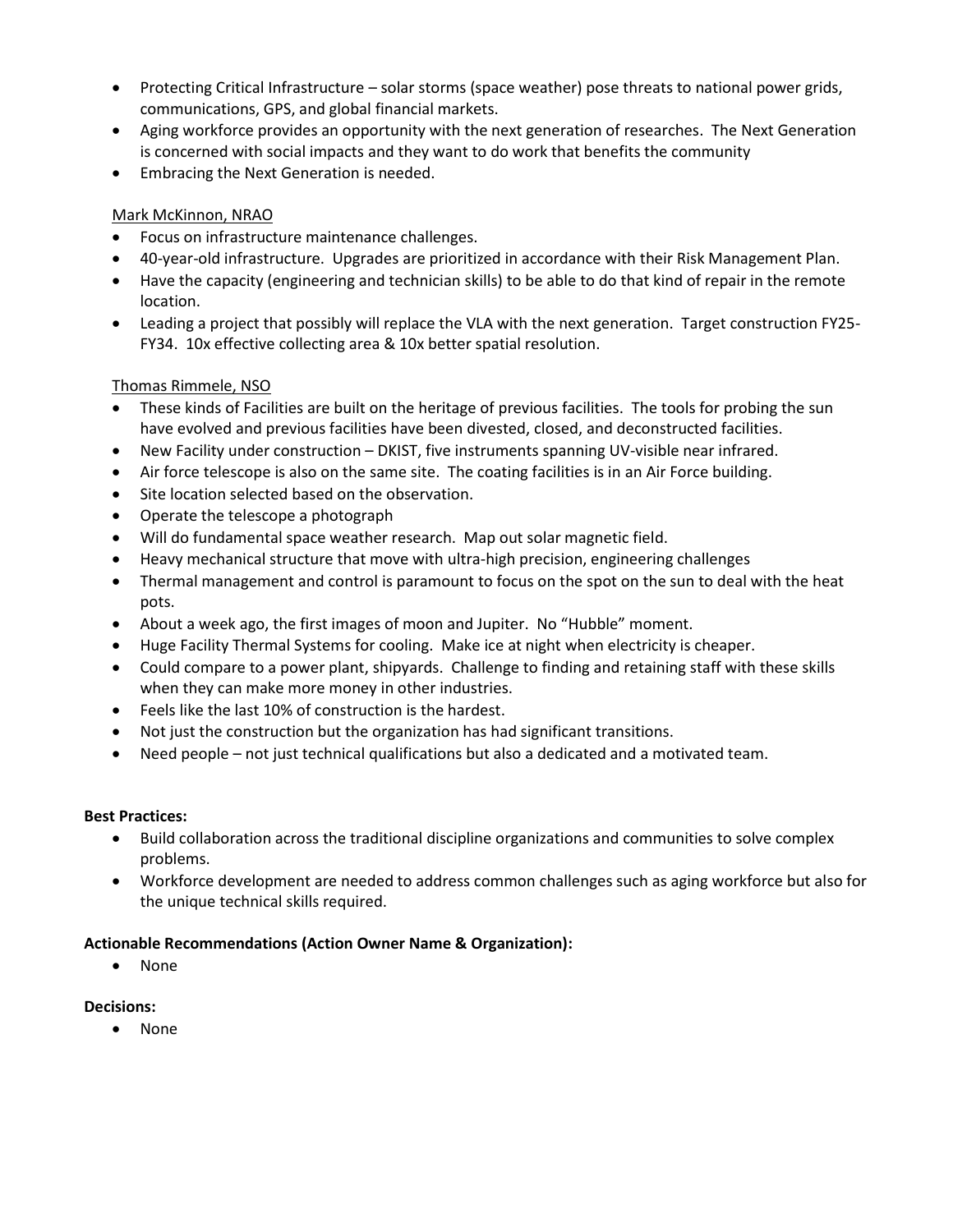- Protecting Critical Infrastructure solar storms (space weather) pose threats to national power grids, communications, GPS, and global financial markets.
- Aging workforce provides an opportunity with the next generation of researches. The Next Generation is concerned with social impacts and they want to do work that benefits the community
- Embracing the Next Generation is needed.

# Mark McKinnon, NRAO

- Focus on infrastructure maintenance challenges.
- 40-year-old infrastructure. Upgrades are prioritized in accordance with their Risk Management Plan.
- Have the capacity (engineering and technician skills) to be able to do that kind of repair in the remote location.
- Leading a project that possibly will replace the VLA with the next generation. Target construction FY25- FY34. 10x effective collecting area & 10x better spatial resolution.

## Thomas Rimmele, NSO

- These kinds of Facilities are built on the heritage of previous facilities. The tools for probing the sun have evolved and previous facilities have been divested, closed, and deconstructed facilities.
- New Facility under construction DKIST, five instruments spanning UV-visible near infrared.
- Air force telescope is also on the same site. The coating facilities is in an Air Force building.
- Site location selected based on the observation.
- Operate the telescope a photograph
- Will do fundamental space weather research. Map out solar magnetic field.
- Heavy mechanical structure that move with ultra-high precision, engineering challenges
- Thermal management and control is paramount to focus on the spot on the sun to deal with the heat pots.
- About a week ago, the first images of moon and Jupiter. No "Hubble" moment.
- Huge Facility Thermal Systems for cooling. Make ice at night when electricity is cheaper.
- Could compare to a power plant, shipyards. Challenge to finding and retaining staff with these skills when they can make more money in other industries.
- Feels like the last 10% of construction is the hardest.
- Not just the construction but the organization has had significant transitions.
- Need people not just technical qualifications but also a dedicated and a motivated team.

## **Best Practices:**

- Build collaboration across the traditional discipline organizations and communities to solve complex problems.
- Workforce development are needed to address common challenges such as aging workforce but also for the unique technical skills required.

## **Actionable Recommendations (Action Owner Name & Organization):**

• None

## **Decisions:**

• None